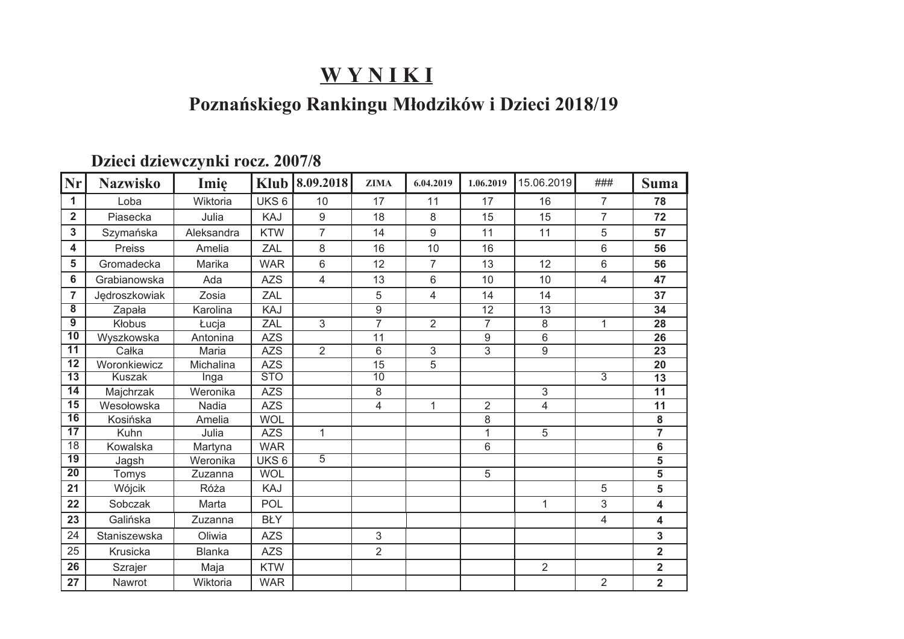## Poznańskiego Rankingu Młodzików i Dzieci 2018/19

#### Dzieci dziewczynki rocz. 2007/8

| Nr                      | <b>Nazwisko</b> | Imie          | <b>Klub</b>      | 8.09.2018      | <b>ZIMA</b>    | 6.04.2019      | 1.06.2019      | 15.06.2019     | ###            | <b>Suma</b>               |
|-------------------------|-----------------|---------------|------------------|----------------|----------------|----------------|----------------|----------------|----------------|---------------------------|
| 1                       | Loba            | Wiktoria      | UKS <sub>6</sub> | 10             | 17             | 11             | 17             | 16             | $\overline{7}$ | 78                        |
| $\overline{\mathbf{2}}$ | Piasecka        | Julia         | KAJ              | 9              | 18             | 8              | 15             | 15             | $\overline{7}$ | 72                        |
| 3                       | Szymańska       | Aleksandra    | <b>KTW</b>       | $\overline{7}$ | 14             | 9              | 11             | 11             | 5              | 57                        |
| 4                       | Preiss          | Amelia        | ZAL              | 8              | 16             | 10             | 16             |                | 6              | 56                        |
| 5                       | Gromadecka      | Marika        | <b>WAR</b>       | 6              | 12             | $\overline{7}$ | 13             | 12             | 6              | 56                        |
| 6                       | Grabianowska    | Ada           | <b>AZS</b>       | 4              | 13             | 6              | 10             | 10             | 4              | 47                        |
| $\overline{7}$          | Jędroszkowiak   | Zosia         | ZAL              |                | 5              | $\overline{4}$ | 14             | 14             |                | 37                        |
| $\overline{\mathbf{8}}$ | Zapała          | Karolina      | KAJ              |                | 9              |                | 12             | 13             |                | 34                        |
| $\overline{9}$          | Kłobus          | Łucja         | ZAL              | 3              | 7              | $\overline{2}$ | $\overline{7}$ | 8              | 1              | 28                        |
| $\overline{10}$         | Wyszkowska      | Antonina      | <b>AZS</b>       |                | 11             |                | 9              | 6              |                | 26                        |
| $\overline{11}$         | Całka           | Maria         | <b>AZS</b>       | $\overline{2}$ | 6              | $\overline{3}$ | $\overline{3}$ | $\overline{9}$ |                | 23                        |
| $\overline{12}$         | Woronkiewicz    | Michalina     | <b>AZS</b>       |                | 15             | 5              |                |                |                | 20                        |
| $\overline{13}$         | <b>Kuszak</b>   | Inga          | <b>STO</b>       |                | 10             |                |                |                | $\overline{3}$ | 13                        |
| 14                      | Majchrzak       | Weronika      | <b>AZS</b>       |                | 8              |                |                | 3              |                | 11                        |
| $\overline{15}$         | Wesołowska      | Nadia         | <b>AZS</b>       |                | 4              | $\mathbf{1}$   | $\overline{2}$ | 4              |                | 11                        |
| $\overline{16}$         | Kosińska        | Amelia        | <b>WOL</b>       |                |                |                | 8              |                |                | 8                         |
| $\overline{17}$         | Kuhn            | Julia         | <b>AZS</b>       | $\mathbf{1}$   |                |                | $\mathbf{1}$   | 5              |                | $\overline{\overline{7}}$ |
| $\overline{18}$         | Kowalska        | Martyna       | <b>WAR</b>       |                |                |                | 6              |                |                | 6                         |
| $\overline{19}$         | Jagsh           | Weronika      | UKS <sub>6</sub> | $\overline{5}$ |                |                |                |                |                | 5                         |
| $\overline{20}$         | Tomys           | Zuzanna       | <b>WOL</b>       |                |                |                | 5              |                |                | 5                         |
| 21                      | Wójcik          | Róża          | KAJ              |                |                |                |                |                | 5              | 5                         |
| 22                      | Sobczak         | Marta         | <b>POL</b>       |                |                |                |                | $\mathbf{1}$   | 3              | $\overline{\mathbf{4}}$   |
| 23                      | Galińska        | Zuzanna       | <b>BŁY</b>       |                |                |                |                |                | $\overline{4}$ | 4                         |
| 24                      | Staniszewska    | Oliwia        | <b>AZS</b>       |                | $\mathfrak{S}$ |                |                |                |                | 3                         |
| 25                      | Krusicka        | <b>Blanka</b> | <b>AZS</b>       |                | $\overline{2}$ |                |                |                |                | $\overline{2}$            |
| 26                      | Szrajer         | Maja          | <b>KTW</b>       |                |                |                |                | $\overline{2}$ |                | $\overline{2}$            |
| 27                      | Nawrot          | Wiktoria      | <b>WAR</b>       |                |                |                |                |                | $\overline{2}$ | $\overline{\mathbf{2}}$   |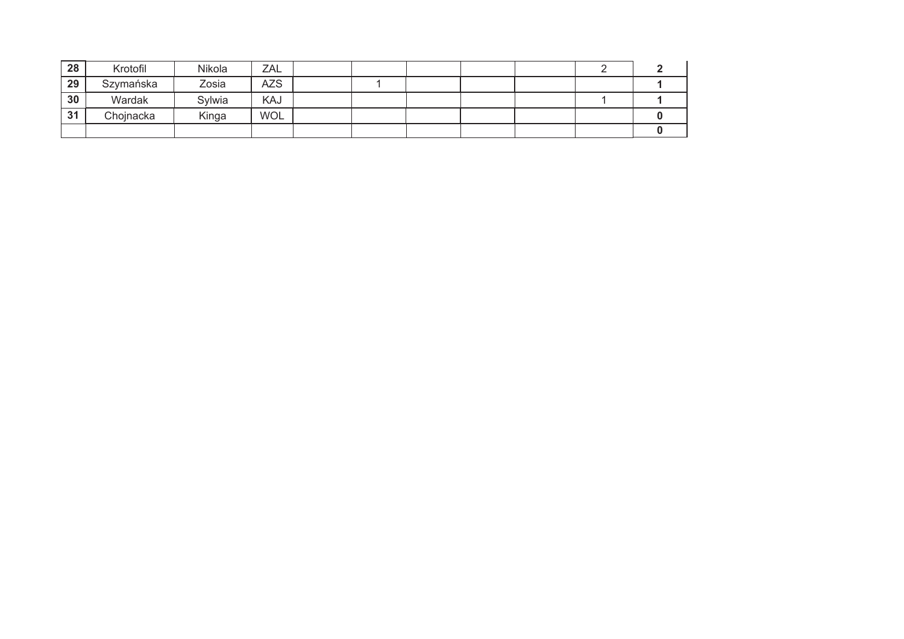| 28 | Krotofil  | Nikola | ZAL        |  |  |  |  |
|----|-----------|--------|------------|--|--|--|--|
| 29 | Szymańska | Zosia  | <b>AZS</b> |  |  |  |  |
| 30 | Wardak    | Sylwia | KAJ        |  |  |  |  |
| 31 | Chojnacka | Kinga  | <b>WOL</b> |  |  |  |  |
|    |           |        |            |  |  |  |  |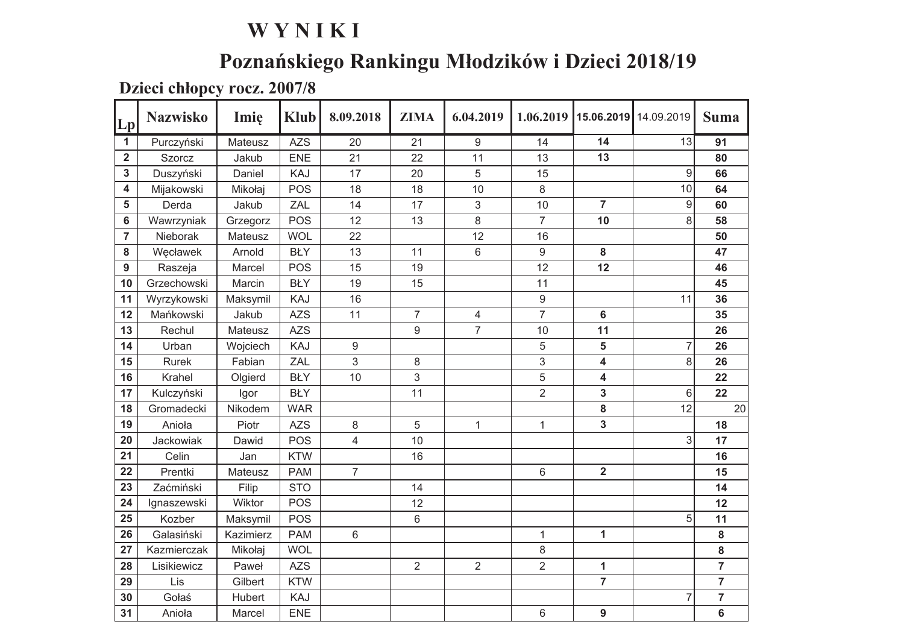# Poznańskiego Rankingu Młodzików i Dzieci 2018/19

Dzieci chłopcy rocz. 2007/8

| Lp                      | <b>Nazwisko</b> | Imię      | <b>Klub</b> | 8.09.2018        | <b>ZIMA</b>    | 6.04.2019      | 1.06.2019        | 15.06.2019       | 14.09.2019 | <b>Suma</b>    |
|-------------------------|-----------------|-----------|-------------|------------------|----------------|----------------|------------------|------------------|------------|----------------|
| $\mathbf{1}$            | Purczyński      | Mateusz   | <b>AZS</b>  | 20               | 21             | 9              | 14               | 14               | 13         | 91             |
| $\overline{\mathbf{2}}$ | <b>Szorcz</b>   | Jakub     | <b>ENE</b>  | 21               | 22             | 11             | 13               | 13               |            | 80             |
| 3                       | Duszyński       | Daniel    | KAJ         | 17               | 20             | 5              | 15               |                  | 9          | 66             |
| 4                       | Mijakowski      | Mikołaj   | POS         | 18               | 18             | 10             | 8                |                  | 10         | 64             |
| 5                       | Derda           | Jakub     | ZAL         | 14               | 17             | 3              | 10               | $\overline{7}$   | $9\,$      | 60             |
| 6                       | Wawrzyniak      | Grzegorz  | POS         | 12               | 13             | 8              | $\overline{7}$   | 10               | 8          | 58             |
| $\overline{7}$          | Nieborak        | Mateusz   | <b>WOL</b>  | 22               |                | 12             | 16               |                  |            | 50             |
| 8                       | Węcławek        | Arnold    | <b>BŁY</b>  | 13               | 11             | 6              | $\boldsymbol{9}$ | 8                |            | 47             |
| 9                       | Raszeja         | Marcel    | <b>POS</b>  | 15               | 19             |                | 12               | 12               |            | 46             |
| 10                      | Grzechowski     | Marcin    | <b>BŁY</b>  | 19               | 15             |                | 11               |                  |            | 45             |
| 11                      | Wyrzykowski     | Maksymil  | KAJ         | 16               |                |                | $9\,$            |                  | 11         | 36             |
| 12                      | Mańkowski       | Jakub     | <b>AZS</b>  | 11               | $\overline{7}$ | $\overline{4}$ | $\overline{7}$   | 6                |            | 35             |
| 13                      | Rechul          | Mateusz   | <b>AZS</b>  |                  | 9              | $\overline{7}$ | 10               | 11               |            | 26             |
| 14                      | Urban           | Wojciech  | KAJ         | $\boldsymbol{9}$ |                |                | 5                | 5                | 7          | 26             |
| 15                      | <b>Rurek</b>    | Fabian    | ZAL         | 3                | 8              |                | 3                | 4                | 8          | 26             |
| 16                      | Krahel          | Olgierd   | <b>BŁY</b>  | 10               | 3              |                | 5                | 4                |            | 22             |
| 17                      | Kulczyński      | Igor      | <b>BŁY</b>  |                  | 11             |                | $\overline{2}$   | 3                | 6          | 22             |
| 18                      | Gromadecki      | Nikodem   | <b>WAR</b>  |                  |                |                |                  | 8                | 12         | 20             |
| 19                      | Anioła          | Piotr     | <b>AZS</b>  | 8                | 5              | $\mathbf{1}$   | $\mathbf{1}$     | 3                |            | 18             |
| 20                      | Jackowiak       | Dawid     | <b>POS</b>  | 4                | 10             |                |                  |                  | 3          | 17             |
| 21                      | Celin           | Jan       | <b>KTW</b>  |                  | 16             |                |                  |                  |            | 16             |
| 22                      | Prentki         | Mateusz   | <b>PAM</b>  | $\overline{7}$   |                |                | $\,6$            | $\mathbf 2$      |            | 15             |
| 23                      | Zaćmiński       | Filip     | <b>STO</b>  |                  | 14             |                |                  |                  |            | 14             |
| 24                      | Ignaszewski     | Wiktor    | <b>POS</b>  |                  | 12             |                |                  |                  |            | 12             |
| 25                      | Kozber          | Maksymil  | <b>POS</b>  |                  | 6              |                |                  |                  | 5          | 11             |
| 26                      | Galasiński      | Kazimierz | <b>PAM</b>  | 6                |                |                | $\mathbf 1$      | $\mathbf{1}$     |            | 8              |
| 27                      | Kazmierczak     | Mikołaj   | <b>WOL</b>  |                  |                |                | 8                |                  |            | 8              |
| 28                      | Lisikiewicz     | Paweł     | <b>AZS</b>  |                  | $\overline{2}$ | $\overline{2}$ | $\overline{2}$   | 1                |            | $\overline{7}$ |
| 29                      | Lis             | Gilbert   | <b>KTW</b>  |                  |                |                |                  | $\overline{7}$   |            | $\overline{7}$ |
| 30                      | Gołaś           | Hubert    | KAJ         |                  |                |                |                  |                  | 7          | $\overline{7}$ |
| 31                      | Anioła          | Marcel    | <b>ENE</b>  |                  |                |                | 6                | $\boldsymbol{9}$ |            | 6              |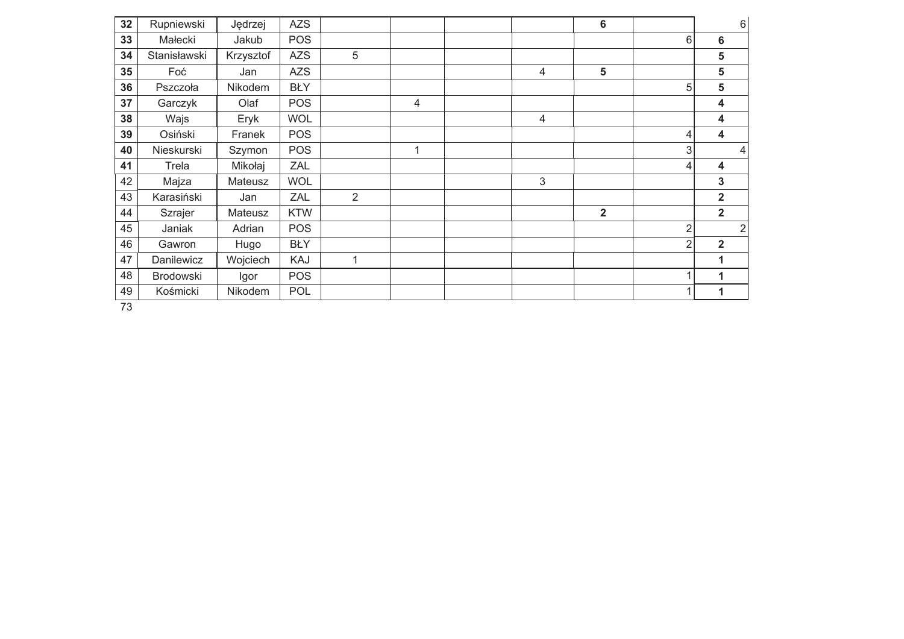| 32 | Rupniewski   | Jędrzej   | <b>AZS</b> |                |   |   | $6\phantom{1}$ |                |                         | 6              |
|----|--------------|-----------|------------|----------------|---|---|----------------|----------------|-------------------------|----------------|
| 33 | Małecki      | Jakub     | <b>POS</b> |                |   |   |                | 6              | 6                       |                |
| 34 | Stanisławski | Krzysztof | <b>AZS</b> | 5              |   |   |                |                | 5                       |                |
| 35 | Foć          | Jan       | <b>AZS</b> |                |   | 4 | $5\phantom{1}$ |                | 5                       |                |
| 36 | Pszczoła     | Nikodem   | <b>BŁY</b> |                |   |   |                | 5              | 5                       |                |
| 37 | Garczyk      | Olaf      | <b>POS</b> |                | 4 |   |                |                | 4                       |                |
| 38 | Wajs         | Eryk      | <b>WOL</b> |                |   | 4 |                |                | 4                       |                |
| 39 | Osiński      | Franek    | <b>POS</b> |                |   |   |                | 4              | 4                       |                |
| 40 | Nieskurski   | Szymon    | <b>POS</b> |                | 1 |   |                | 3              |                         | $\overline{4}$ |
| 41 | Trela        | Mikołaj   | ZAL        |                |   |   |                | 4              | 4                       |                |
| 42 | Majza        | Mateusz   | <b>WOL</b> |                |   | 3 |                |                | 3                       |                |
| 43 | Karasiński   | Jan       | ZAL        | $\overline{2}$ |   |   |                |                | $\overline{\mathbf{2}}$ |                |
| 44 | Szrajer      | Mateusz   | <b>KTW</b> |                |   |   | $\overline{2}$ |                | $\overline{\mathbf{2}}$ |                |
| 45 | Janiak       | Adrian    | <b>POS</b> |                |   |   |                | $\overline{2}$ |                         | $\overline{2}$ |
| 46 | Gawron       | Hugo      | <b>BŁY</b> |                |   |   |                | $\overline{2}$ | $\mathbf{2}$            |                |
| 47 | Danilewicz   | Wojciech  | KAJ        | 1              |   |   |                |                |                         |                |
| 48 | Brodowski    | Igor      | <b>POS</b> |                |   |   |                |                | 1                       |                |
| 49 | Kośmicki     | Nikodem   | <b>POL</b> |                |   |   |                |                | 1                       |                |
|    |              |           |            |                |   |   |                |                |                         |                |

 $\overline{73}$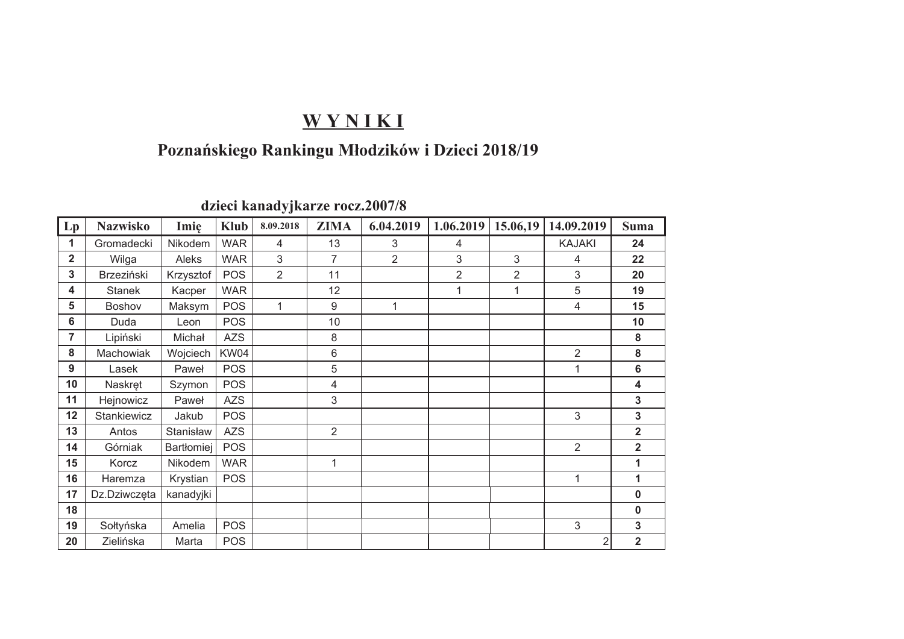### Poznańskiego Rankingu Młodzików i Dzieci 2018/19

|                         |                 |            |             | ັ              |                  |                |                |                |                |                         |
|-------------------------|-----------------|------------|-------------|----------------|------------------|----------------|----------------|----------------|----------------|-------------------------|
| Lp                      | <b>Nazwisko</b> | Imię       | <b>Klub</b> | 8.09.2018      | <b>ZIMA</b>      | 6.04.2019      | 1.06.2019      | 15.06,19       | 14.09.2019     | <b>Suma</b>             |
| 1                       | Gromadecki      | Nikodem    | <b>WAR</b>  | 4              | 13               | 3              | 4              |                | <b>KAJAKI</b>  | 24                      |
| $\overline{\mathbf{2}}$ | Wilga           | Aleks      | <b>WAR</b>  | 3              | 7                | $\overline{2}$ | 3              | 3              | 4              | 22                      |
| 3                       | Brzeziński      | Krzysztof  | <b>POS</b>  | $\overline{2}$ | 11               |                | $\overline{2}$ | $\overline{2}$ | 3              | 20                      |
| 4                       | <b>Stanek</b>   | Kacper     | <b>WAR</b>  |                | 12               |                | 1              | 1              | 5              | 19                      |
| 5                       | Boshov          | Maksym     | <b>POS</b>  | $\overline{1}$ | $\boldsymbol{9}$ | 1              |                |                | 4              | 15                      |
| 6                       | Duda            | Leon       | <b>POS</b>  |                | 10               |                |                |                |                | 10                      |
| $\overline{7}$          | Lipiński        | Michał     | <b>AZS</b>  |                | 8                |                |                |                |                | ${\bf 8}$               |
| 8                       | Machowiak       | Wojciech   | KW04        |                | 6                |                |                |                | $\overline{2}$ | ${\bf 8}$               |
| 9                       | Lasek           | Paweł      | <b>POS</b>  |                | 5                |                |                |                | 1              | $\bf 6$                 |
| 10                      | Naskręt         | Szymon     | <b>POS</b>  |                | 4                |                |                |                |                | $\overline{\mathbf{4}}$ |
| 11                      | Hejnowicz       | Paweł      | <b>AZS</b>  |                | 3                |                |                |                |                | $\mathbf{3}$            |
| 12                      | Stankiewicz     | Jakub      | <b>POS</b>  |                |                  |                |                |                | 3              | 3                       |
| 13                      | Antos           | Stanisław  | <b>AZS</b>  |                | $\overline{2}$   |                |                |                |                | $\overline{\mathbf{2}}$ |
| 14                      | Górniak         | Bartłomiej | <b>POS</b>  |                |                  |                |                |                | $\overline{2}$ | $\overline{\mathbf{2}}$ |
| 15                      | Korcz           | Nikodem    | <b>WAR</b>  |                | 1                |                |                |                |                | 1                       |
| 16                      | Haremza         | Krystian   | <b>POS</b>  |                |                  |                |                |                | 1              | 1                       |
| 17                      | Dz.Dziwczęta    | kanadyjki  |             |                |                  |                |                |                |                | $\mathbf 0$             |
| 18                      |                 |            |             |                |                  |                |                |                |                | $\mathbf 0$             |
| 19                      | Sołtyńska       | Amelia     | <b>POS</b>  |                |                  |                |                |                | 3              | $\mathbf{3}$            |
| 20                      | Zielińska       | Marta      | <b>POS</b>  |                |                  |                |                |                | 2              | $\overline{\mathbf{2}}$ |

dzieci kanadyjkarze rocz.2007/8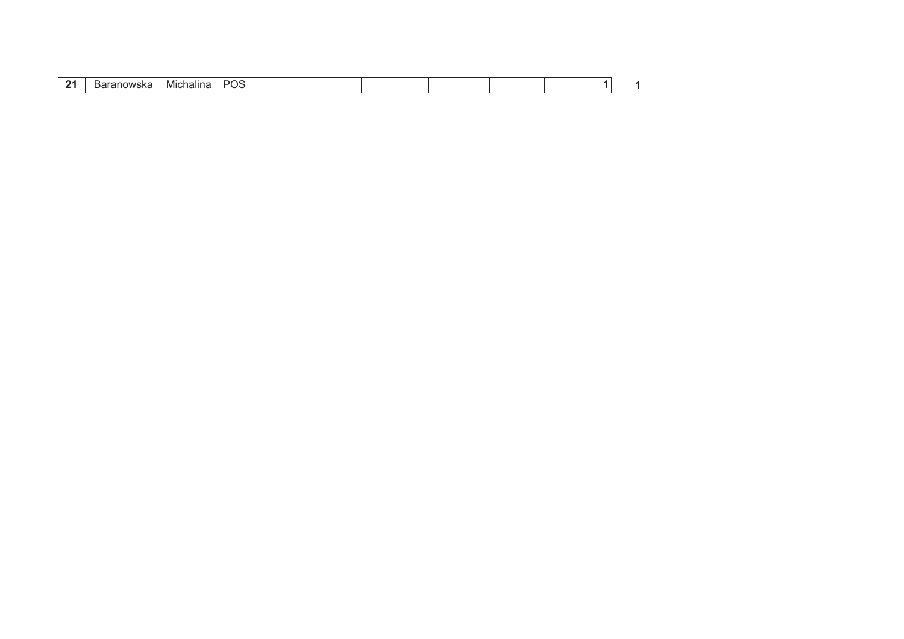| п.<br> | ⊶וני | Michalina |  |  |  |  |  |  |  |  |
|--------|------|-----------|--|--|--|--|--|--|--|--|
|--------|------|-----------|--|--|--|--|--|--|--|--|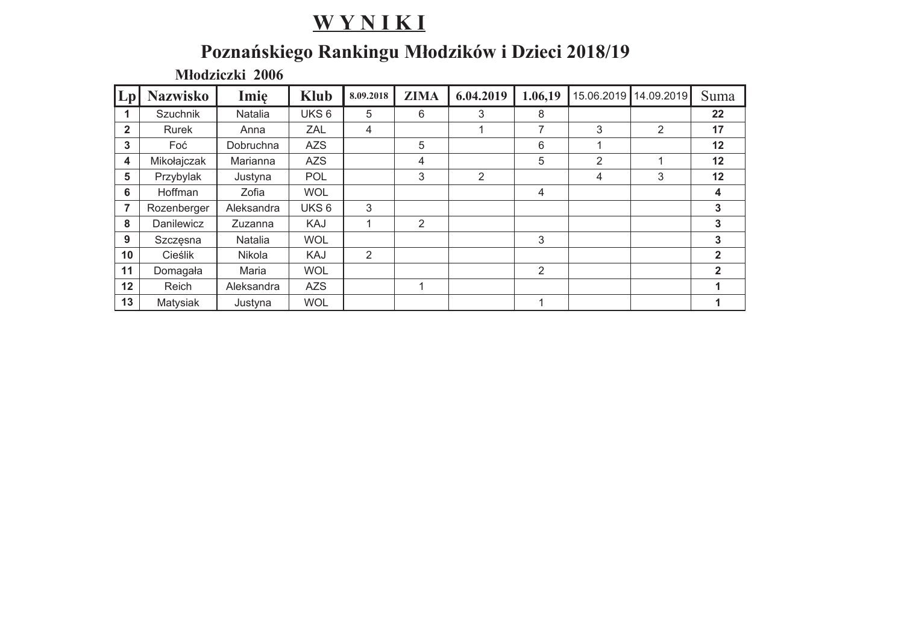# Poznańskiego Rankingu Młodzików i Dzieci 2018/19

Młodziczki 2006

| Lp             | <b>Nazwisko</b> | Imię       | <b>Klub</b>      | 8.09.2018 | <b>ZIMA</b> | 6.04.2019 | 1.06,19        | 15.06.2019     | 14.09.2019     | Suma         |
|----------------|-----------------|------------|------------------|-----------|-------------|-----------|----------------|----------------|----------------|--------------|
| 1              | <b>Szuchnik</b> | Natalia    | UKS <sub>6</sub> | 5         | 6           | 3         | 8              |                |                | 22           |
| $\mathbf{2}$   | Rurek           | Anna       | <b>ZAL</b>       | 4         |             |           | $\overline{ }$ | 3              | $\overline{2}$ | 17           |
| 3              | Foć             | Dobruchna  | <b>AZS</b>       |           | 5           |           | 6              |                |                | 12           |
| 4              | Mikołajczak     | Marianna   | <b>AZS</b>       |           | 4           |           | 5              | $\overline{2}$ |                | 12           |
| 5              | Przybylak       | Justyna    | <b>POL</b>       |           | 3           | 2         |                | 4              | 3              | 12           |
| 6              | Hoffman         | Zofia      | <b>WOL</b>       |           |             |           | 4              |                |                | 4            |
| $\overline{7}$ | Rozenberger     | Aleksandra | UKS <sub>6</sub> | 3         |             |           |                |                |                | 3            |
| 8              | Danilewicz      | Zuzanna    | KAJ              | 1         | 2           |           |                |                |                | 3            |
| 9              | Szczęsna        | Natalia    | <b>WOL</b>       |           |             |           | 3              |                |                | 3            |
| 10             | Cieślik         | Nikola     | KAJ              | 2         |             |           |                |                |                | $\mathbf{2}$ |
| 11             | Domagała        | Maria      | <b>WOL</b>       |           |             |           | $\overline{2}$ |                |                | $\mathbf{2}$ |
| 12             | Reich           | Aleksandra | <b>AZS</b>       |           | 1           |           |                |                |                |              |
| 13             | Matysiak        | Justyna    | <b>WOL</b>       |           |             |           |                |                |                |              |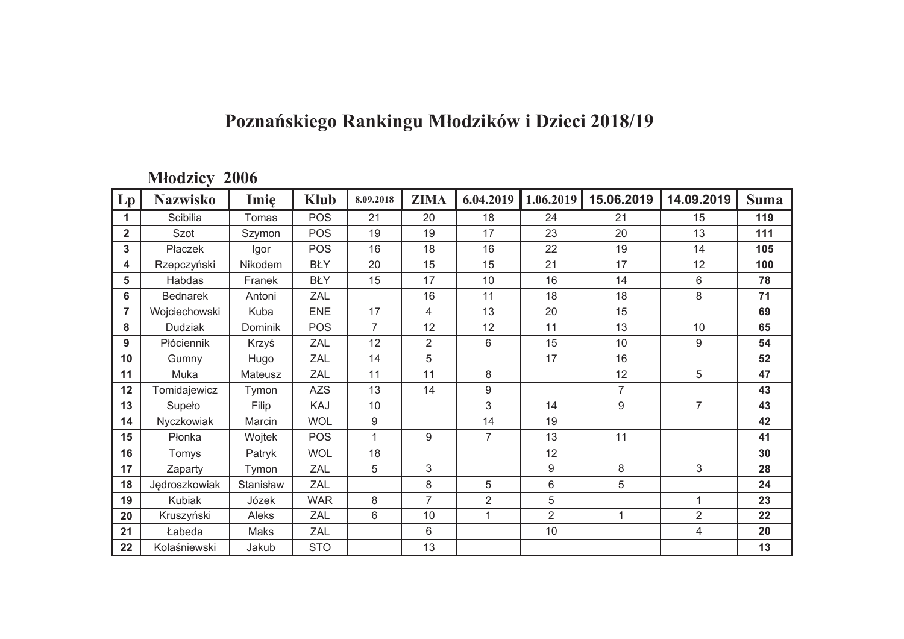# Poznańskiego Rankingu Młodzików i Dzieci 2018/19

#### Młodzicy 2006

| Lp           | <b>Nazwisko</b> | Imie           | <b>Klub</b> | 8.09.2018      | <b>ZIMA</b>    | 6.04.2019      | 1.06.2019      | 15.06.2019     | 14.09.2019     | <b>Suma</b> |
|--------------|-----------------|----------------|-------------|----------------|----------------|----------------|----------------|----------------|----------------|-------------|
| 1.           | Scibilia        | Tomas          | <b>POS</b>  | 21             | 20             | 18             | 24             | 21             | 15             | 119         |
| $\mathbf{2}$ | Szot            | Szymon         | <b>POS</b>  | 19             | 19             | 17             | 23             | 20             | 13             | 111         |
| $\mathbf{3}$ | Płaczek         | Igor           | <b>POS</b>  | 16             | 18             | 16             | 22             | 19             | 14             | 105         |
| 4            | Rzepczyński     | Nikodem        | <b>BŁY</b>  | 20             | 15             | 15             | 21             | 17             | 12             | 100         |
| 5            | Habdas          | Franek         | <b>BŁY</b>  | 15             | 17             | 10             | 16             | 14             | $6\phantom{1}$ | 78          |
| 6            | <b>Bednarek</b> | Antoni         | ZAL         |                | 16             | 11             | 18             | 18             | 8              | 71          |
| 7            | Wojciechowski   | Kuba           | <b>ENE</b>  | 17             | 4              | 13             | 20             | 15             |                | 69          |
| 8            | <b>Dudziak</b>  | <b>Dominik</b> | <b>POS</b>  | $\overline{7}$ | 12             | 12             | 11             | 13             | 10             | 65          |
| 9            | Płóciennik      | Krzyś          | ZAL         | 12             | $\overline{2}$ | 6              | 15             | 10             | $9\,$          | 54          |
| 10           | Gumny           | Hugo           | ZAL         | 14             | 5              |                | 17             | 16             |                | 52          |
| 11           | Muka            | Mateusz        | ZAL         | 11             | 11             | 8              |                | 12             | 5              | 47          |
| 12           | Tomidajewicz    | Tymon          | <b>AZS</b>  | 13             | 14             | 9              |                | $\overline{7}$ |                | 43          |
| 13           | Supeło          | Filip          | KAJ         | 10             |                | 3              | 14             | 9              | $\overline{7}$ | 43          |
| 14           | Nyczkowiak      | Marcin         | <b>WOL</b>  | 9              |                | 14             | 19             |                |                | 42          |
| 15           | Płonka          | Wojtek         | <b>POS</b>  | 1              | 9              | $\overline{7}$ | 13             | 11             |                | 41          |
| 16           | Tomys           | Patryk         | <b>WOL</b>  | 18             |                |                | 12             |                |                | 30          |
| 17           | Zaparty         | Tymon          | <b>ZAL</b>  | 5              | 3              |                | 9              | 8              | 3              | 28          |
| 18           | Jędroszkowiak   | Stanisław      | <b>ZAL</b>  |                | 8              | 5              | 6              | 5              |                | 24          |
| 19           | <b>Kubiak</b>   | Józek          | <b>WAR</b>  | 8              | $\overline{7}$ | $\overline{2}$ | 5              |                | 1              | 23          |
| 20           | Kruszyński      | Aleks          | ZAL         | 6              | 10             | 1              | $\overline{2}$ | $\mathbf{1}$   | $\overline{2}$ | 22          |
| 21           | Łabeda          | Maks           | ZAL         |                | 6              |                | 10             |                | $\overline{4}$ | 20          |
| 22           | Kolaśniewski    | Jakub          | <b>STO</b>  |                | 13             |                |                |                |                | 13          |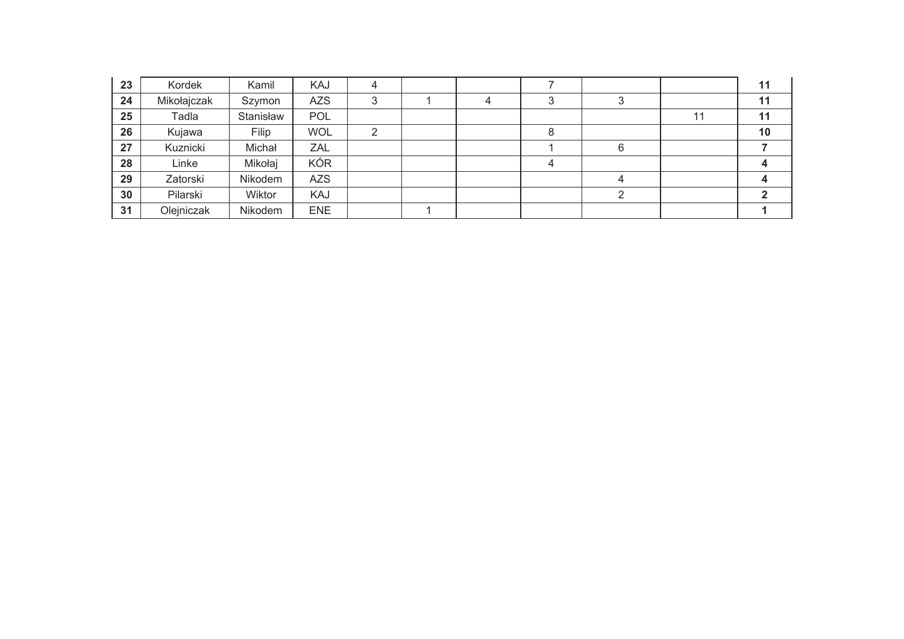| 23 | Kordek      | Kamil     | KAJ        | 4 |   |   |   |    | 11 |
|----|-------------|-----------|------------|---|---|---|---|----|----|
| 24 | Mikołajczak | Szymon    | <b>AZS</b> | っ | 4 |   | ົ |    | 11 |
| 25 | Tadla       | Stanisław | POL        |   |   |   |   | 11 | 11 |
| 26 | Kujawa      | Filip     | <b>WOL</b> |   |   |   |   |    | 10 |
| 27 | Kuznicki    | Michał    | ZAL        |   |   |   | 6 |    |    |
| 28 | Linke       | Mikołaj   | <b>KÓR</b> |   |   | 4 |   |    |    |
| 29 | Zatorski    | Nikodem   | <b>AZS</b> |   |   |   |   |    |    |
| 30 | Pilarski    | Wiktor    | KAJ        |   |   |   | ⌒ |    |    |
| 31 | Olejniczak  | Nikodem   | <b>ENE</b> |   |   |   |   |    |    |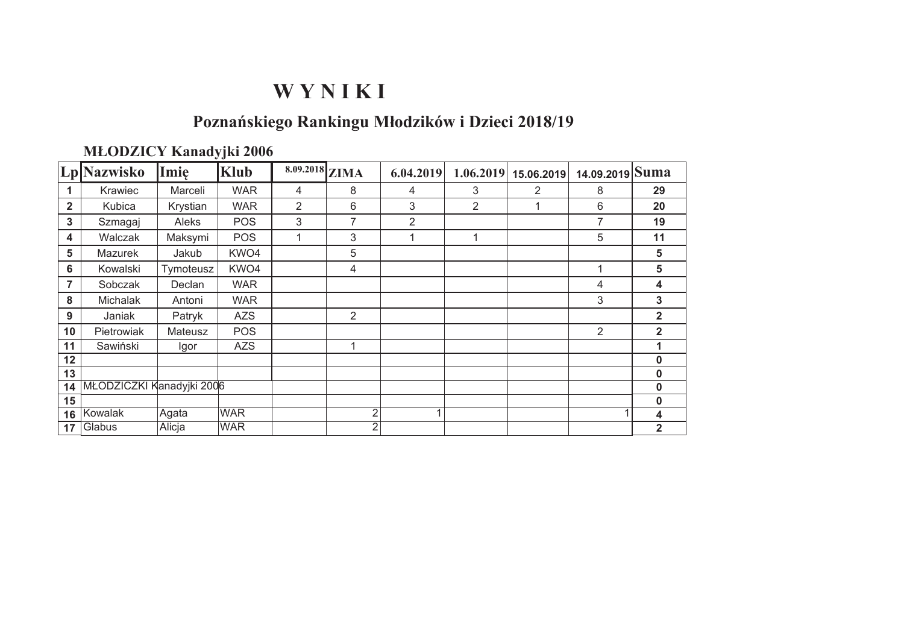### Poznańskiego Rankingu Młodzików i Dzieci 2018/19

#### **MLODZICY Kanadyjki 2006**

|                | Lp Nazwisko               | Imie      | <b>Klub</b> | $8.09.2018$ ZIMA |                | 6.04.2019                | 1.06.2019      | 15.06.2019 | 14.09.2019 Suma |                |
|----------------|---------------------------|-----------|-------------|------------------|----------------|--------------------------|----------------|------------|-----------------|----------------|
| 1              | Krawiec                   | Marceli   | <b>WAR</b>  | 4                | 8              | 4                        | 3              | 2          | 8               | 29             |
| $\overline{2}$ | Kubica                    | Krystian  | <b>WAR</b>  | 2                | 6              | 3                        | $\overline{2}$ |            | 6               | 20             |
| 3              | Szmagaj                   | Aleks     | <b>POS</b>  | 3                | 7              | 2                        |                |            | 7               | 19             |
| 4              | Walczak                   | Maksymi   | <b>POS</b>  | 1                | 3              | 1                        | 1              |            | 5               | 11             |
| 5              | <b>Mazurek</b>            | Jakub     | KWO4        |                  | 5              |                          |                |            |                 | 5              |
| 6              | Kowalski                  | Tymoteusz | KWO4        |                  | 4              |                          |                |            |                 | 5              |
| $\overline{7}$ | Sobczak                   | Declan    | <b>WAR</b>  |                  |                |                          |                |            | 4               | 4              |
| 8              | Michalak                  | Antoni    | <b>WAR</b>  |                  |                |                          |                |            | 3               | 3              |
| 9              | Janiak                    | Patryk    | <b>AZS</b>  |                  | $\overline{2}$ |                          |                |            |                 | $\overline{2}$ |
| 10             | Pietrowiak                | Mateusz   | <b>POS</b>  |                  |                |                          |                |            | 2               | $\overline{2}$ |
| 11             | Sawiński                  | Igor      | <b>AZS</b>  |                  |                |                          |                |            |                 | 1              |
| 12             |                           |           |             |                  |                |                          |                |            |                 | $\mathbf 0$    |
| 13             |                           |           |             |                  |                |                          |                |            |                 | 0              |
| 14             | MŁODZICZKI Kanadyjki 2006 |           |             |                  |                |                          |                |            |                 | 0              |
| 15             |                           |           |             |                  |                |                          |                |            |                 | 0              |
| 16             | <b>Kowalak</b>            | Agata     | <b>WAR</b>  |                  | $\overline{2}$ | $\overline{\mathcal{A}}$ |                |            |                 | 4              |
| 17             | Glabus                    | Alicja    | <b>WAR</b>  |                  | $\overline{2}$ |                          |                |            |                 | $\overline{2}$ |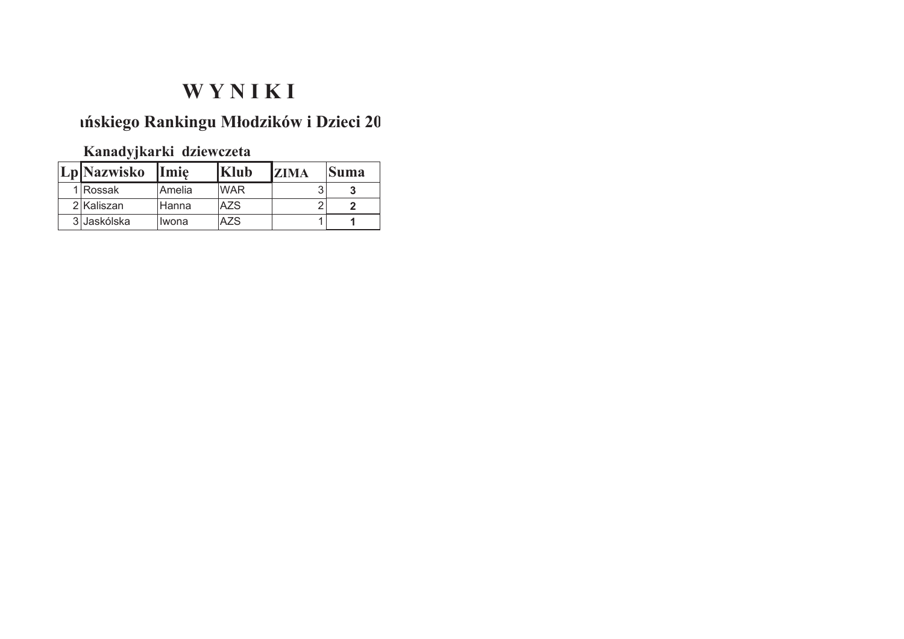### mískiego Rankingu Młodzików i Dzieci 20

Kanadyjkarki dziewczeta

| Lp Nazwisko Imię |        | <b>Klub</b> | <b>IZIMA</b> | Suma |
|------------------|--------|-------------|--------------|------|
| 1 Rossak         | Amelia | <b>WAR</b>  |              |      |
| 2 Kaliszan       | Hanna  | <b>AZS</b>  |              |      |
| 3 Jaskólska      | Iwona  | A7S         |              |      |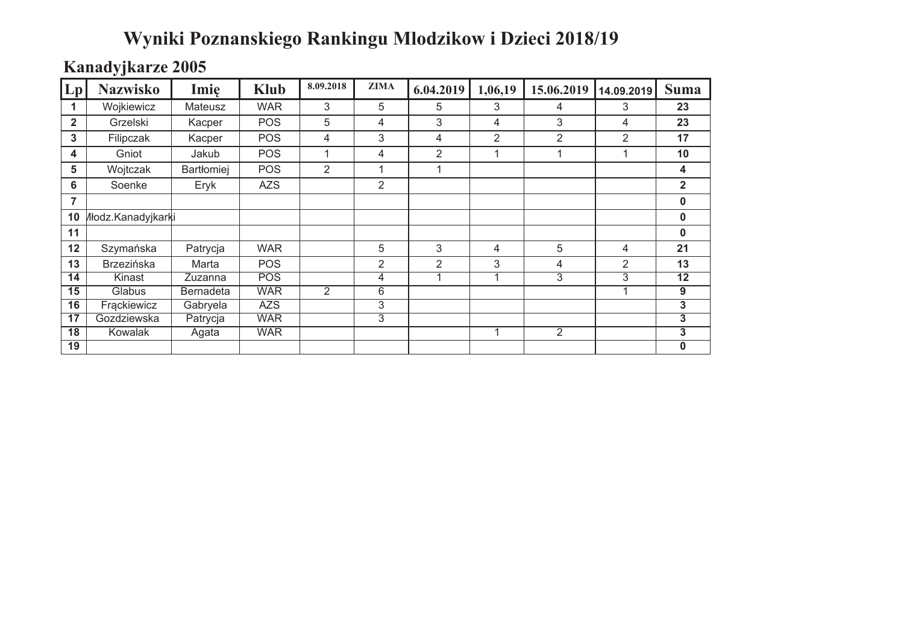# Wyniki Poznanskiego Rankingu Mlodzikow i Dzieci 2018/19

### Kanadyjkarze 2005

| Lp              | <b>Nazwisko</b>     | Imie              | <b>Klub</b> | 8.09.2018 | <b>ZIMA</b>    | 6.04.2019      | 1,06,19        | 15.06.2019     | 14.09.2019     | <b>Suma</b>     |
|-----------------|---------------------|-------------------|-------------|-----------|----------------|----------------|----------------|----------------|----------------|-----------------|
|                 | Wojkiewicz          | Mateusz           | <b>WAR</b>  | 3         | 5              | 5              | 3              | 4              | 3              | 23              |
| $\overline{2}$  | Grzelski            | Kacper            | <b>POS</b>  | 5         | 4              | 3              | 4              | 3              | 4              | 23              |
| 3               | Filipczak           | Kacper            | <b>POS</b>  | 4         | 3              | 4              | $\overline{2}$ | $\overline{2}$ | $\overline{2}$ | 17              |
| 4               | Gniot               | Jakub             | POS         | 1         | 4              | $\overline{2}$ | 1              | 1              | 1              | 10              |
| 5               | Wojtczak            | <b>Bartłomiej</b> | POS         | 2         | 1              | 1              |                |                |                | 4               |
| 6               | Soenke              | Eryk              | <b>AZS</b>  |           | 2              |                |                |                |                | $\overline{2}$  |
| 7               |                     |                   |             |           |                |                |                |                |                | 0               |
| 10              | /lłodz.Kanadyjkarki |                   |             |           |                |                |                |                |                | $\pmb{0}$       |
| 11              |                     |                   |             |           |                |                |                |                |                | $\pmb{0}$       |
| 12              | Szymańska           | Patrycja          | <b>WAR</b>  |           | 5              | 3              | 4              | 5              | 4              | 21              |
| 13              | <b>Brzezińska</b>   | Marta             | <b>POS</b>  |           | $\overline{2}$ | $\overline{2}$ | 3              | 4              | 2              | 13              |
| 14              | Kinast              | Zuzanna           | <b>POS</b>  |           | 4              |                | 1              | $\overline{3}$ | 3              | $\overline{12}$ |
| 15              | Glabus              | <b>Bernadeta</b>  | <b>WAR</b>  | 2         | 6              |                |                |                |                | 9               |
| 16              | Frackiewicz         | Gabryela          | <b>AZS</b>  |           | $\overline{3}$ |                |                |                |                | $\overline{3}$  |
| 17              | Gozdziewska         | Patrycja          | <b>WAR</b>  |           | $\overline{3}$ |                |                |                |                | 3               |
| $\overline{18}$ | Kowalak             | Agata             | <b>WAR</b>  |           |                |                | 1              | $\overline{2}$ |                | 3               |
| 19              |                     |                   |             |           |                |                |                |                |                | 0               |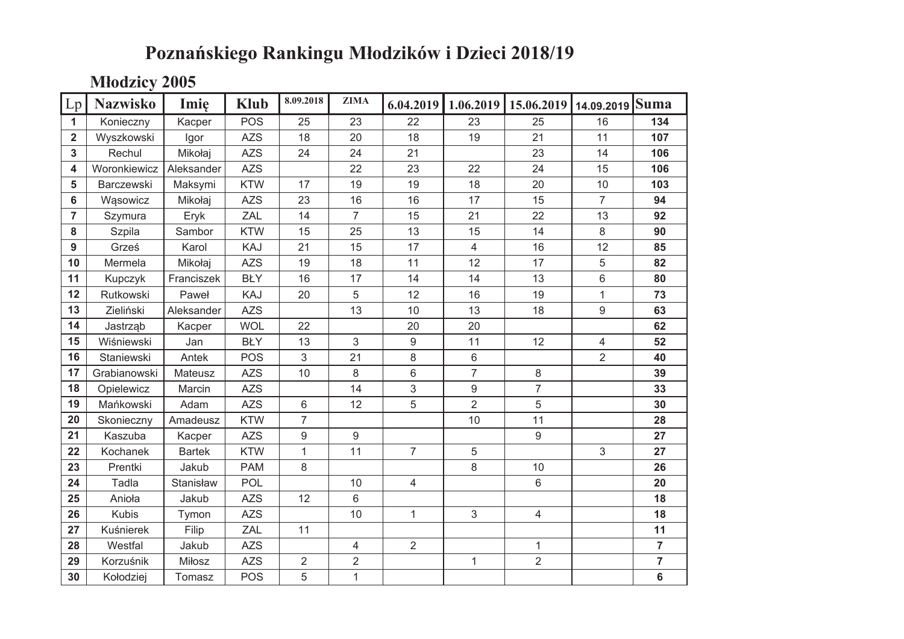# Poznańskiego Rankingu Młodzików i Dzieci 2018/19

**Młodzicy 2005** 

| Lp             | <b>Nazwisko</b> | Imię          | <b>Klub</b> | 8.09.2018      | <b>ZIMA</b>    | 6.04.2019        | 1.06.2019      | 15.06.2019     | 14.09.2019     | Suma           |
|----------------|-----------------|---------------|-------------|----------------|----------------|------------------|----------------|----------------|----------------|----------------|
| $\mathbf{1}$   | Konieczny       | Kacper        | <b>POS</b>  | 25             | 23             | 22               | 23             | 25             | 16             | 134            |
| $\overline{2}$ | Wyszkowski      | Igor          | <b>AZS</b>  | 18             | 20             | 18               | 19             | 21             | 11             | 107            |
| $\mathbf{3}$   | Rechul          | Mikołaj       | <b>AZS</b>  | 24             | 24             | 21               |                | 23             | 14             | 106            |
| 4              | Woronkiewicz    | Aleksander    | <b>AZS</b>  |                | 22             | 23               | 22             | 24             | 15             | 106            |
| 5              | Barczewski      | Maksymi       | <b>KTW</b>  | 17             | 19             | 19               | 18             | 20             | 10             | 103            |
| 6              | Wąsowicz        | Mikołaj       | <b>AZS</b>  | 23             | 16             | 16               | 17             | 15             | $\overline{7}$ | 94             |
| $\overline{7}$ | Szymura         | Eryk          | ZAL         | 14             | $\overline{7}$ | 15               | 21             | 22             | 13             | 92             |
| 8              | Szpila          | Sambor        | <b>KTW</b>  | 15             | 25             | 13               | 15             | 14             | $\,8\,$        | 90             |
| 9              | Grześ           | Karol         | KAJ         | 21             | 15             | 17               | $\overline{4}$ | 16             | 12             | 85             |
| 10             | Mermela         | Mikołaj       | <b>AZS</b>  | 19             | 18             | 11               | 12             | 17             | 5              | 82             |
| 11             | Kupczyk         | Franciszek    | <b>BŁY</b>  | 16             | 17             | 14               | 14             | 13             | 6              | 80             |
| 12             | Rutkowski       | Paweł         | KAJ         | 20             | 5              | 12               | 16             | 19             | $\mathbf{1}$   | 73             |
| 13             | Zieliński       | Aleksander    | <b>AZS</b>  |                | 13             | 10               | 13             | 18             | 9              | 63             |
| 14             | Jastrząb        | Kacper        | <b>WOL</b>  | 22             |                | 20               | 20             |                |                | 62             |
| 15             | Wiśniewski      | Jan           | <b>BŁY</b>  | 13             | 3              | $\boldsymbol{9}$ | 11             | 12             | 4              | 52             |
| 16             | Staniewski      | Antek         | <b>POS</b>  | 3              | 21             | $\,8\,$          | $6\phantom{1}$ |                | $\overline{2}$ | 40             |
| 17             | Grabianowski    | Mateusz       | <b>AZS</b>  | 10             | 8              | $6\phantom{a}$   | $\overline{7}$ | 8              |                | 39             |
| 18             | Opielewicz      | Marcin        | <b>AZS</b>  |                | 14             | 3                | 9              | $\overline{7}$ |                | 33             |
| 19             | Mańkowski       | Adam          | <b>AZS</b>  | 6              | 12             | 5                | $\overline{2}$ | 5              |                | 30             |
| 20             | Skonieczny      | Amadeusz      | <b>KTW</b>  | $\overline{7}$ |                |                  | 10             | 11             |                | 28             |
| 21             | Kaszuba         | Kacper        | <b>AZS</b>  | 9              | 9              |                  |                | 9              |                | 27             |
| 22             | Kochanek        | <b>Bartek</b> | <b>KTW</b>  | $\mathbf{1}$   | 11             | $\overline{7}$   | 5              |                | 3              | 27             |
| 23             | Prentki         | Jakub         | <b>PAM</b>  | 8              |                |                  | 8              | 10             |                | 26             |
| 24             | Tadla           | Stanisław     | <b>POL</b>  |                | 10             | $\overline{4}$   |                | 6              |                | 20             |
| 25             | Anioła          | Jakub         | <b>AZS</b>  | 12             | 6              |                  |                |                |                | 18             |
| 26             | <b>Kubis</b>    | Tymon         | <b>AZS</b>  |                | 10             | $\mathbf{1}$     | $\mathfrak{S}$ | $\overline{4}$ |                | 18             |
| 27             | Kuśnierek       | Filip         | ZAL         | 11             |                |                  |                |                |                | 11             |
| 28             | Westfal         | Jakub         | <b>AZS</b>  |                | 4              | $\overline{2}$   |                | 1              |                | $\overline{7}$ |
| 29             | Korzuśnik       | Miłosz        | <b>AZS</b>  | $\overline{2}$ | $\overline{2}$ |                  | $\mathbf{1}$   | $\overline{2}$ |                | $\overline{7}$ |
| 30             | Kołodziej       | Tomasz        | <b>POS</b>  | 5              | $\mathbf{1}$   |                  |                |                |                | 6              |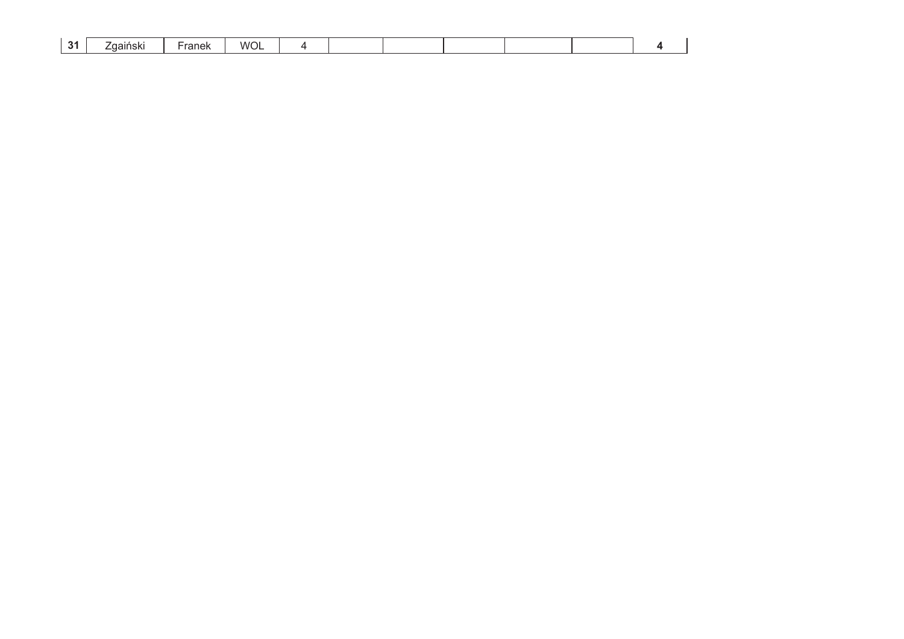| . .<br>w<br>$nn$ n $1/1$<br>duch<br>allioni<br>$\sim$ $\sim$ $\sim$<br>-<br>. |
|-------------------------------------------------------------------------------|
|-------------------------------------------------------------------------------|